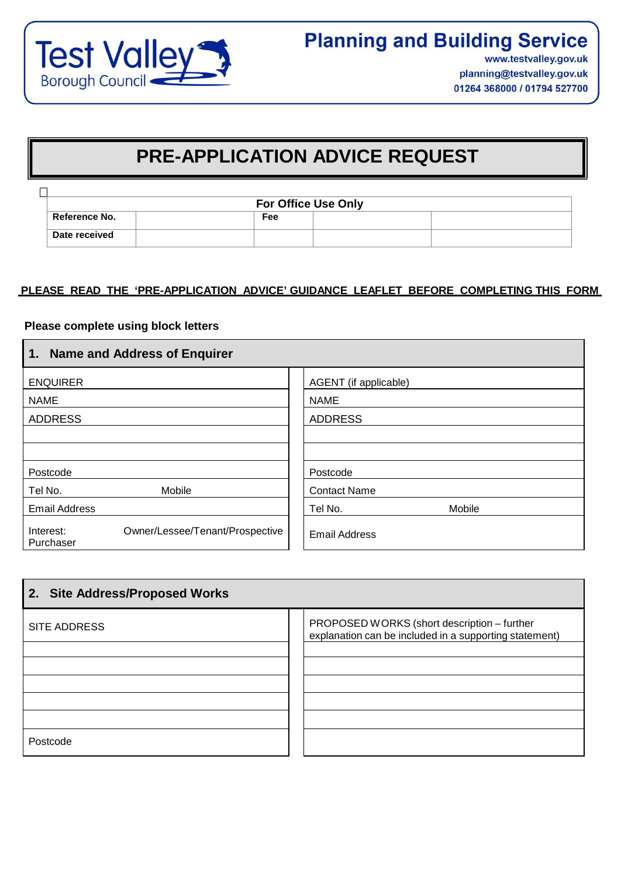

# **PRE-APPLICATION ADVICE REQUEST**

|                      | <b>For Office Use Only</b> |  |  |
|----------------------|----------------------------|--|--|
| <b>Reference No.</b> | Fee                        |  |  |
| Date received        |                            |  |  |

## **PLEASE READ THE 'PRE-APPLICATION ADVICE' GUIDANCE LEAFLET BEFORE COMPLETING THIS FORM**

## **Please complete using block letters**

 $\blacksquare$ 

| 1. Name and Address of Enquirer                           |                       |  |  |  |  |
|-----------------------------------------------------------|-----------------------|--|--|--|--|
| <b>ENQUIRER</b>                                           | AGENT (if applicable) |  |  |  |  |
| <b>NAME</b>                                               | <b>NAME</b>           |  |  |  |  |
| <b>ADDRESS</b>                                            | <b>ADDRESS</b>        |  |  |  |  |
|                                                           |                       |  |  |  |  |
|                                                           |                       |  |  |  |  |
| Postcode                                                  | Postcode              |  |  |  |  |
| Mobile<br>Tel No.                                         | <b>Contact Name</b>   |  |  |  |  |
| <b>Email Address</b>                                      | Mobile<br>Tel No.     |  |  |  |  |
| Owner/Lessee/Tenant/Prospective<br>Interest:<br>Purchaser | <b>Email Address</b>  |  |  |  |  |

| 2. Site Address/Proposed Works |                                                                                                       |  |  |
|--------------------------------|-------------------------------------------------------------------------------------------------------|--|--|
| <b>SITE ADDRESS</b>            | PROPOSED WORKS (short description - further<br>explanation can be included in a supporting statement) |  |  |
|                                |                                                                                                       |  |  |
|                                |                                                                                                       |  |  |
|                                |                                                                                                       |  |  |
|                                |                                                                                                       |  |  |
| Postcode                       |                                                                                                       |  |  |